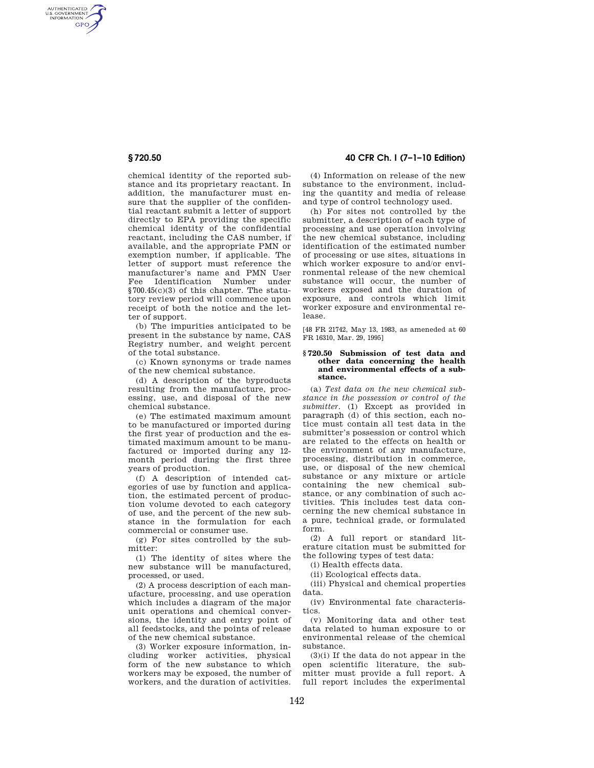AUTHENTICATED<br>U.S. GOVERNMENT<br>INFORMATION **GPO** 

> chemical identity of the reported substance and its proprietary reactant. In addition, the manufacturer must ensure that the supplier of the confidential reactant submit a letter of support directly to EPA providing the specific chemical identity of the confidential reactant, including the CAS number, if available, and the appropriate PMN or exemption number, if applicable. The letter of support must reference the manufacturer's name and PMN User Fee Identification Number under §700.45(c)(3) of this chapter. The statutory review period will commence upon receipt of both the notice and the letter of support.

> (b) The impurities anticipated to be present in the substance by name, CAS Registry number, and weight percent of the total substance.

> (c) Known synonyms or trade names of the new chemical substance.

> (d) A description of the byproducts resulting from the manufacture, processing, use, and disposal of the new chemical substance.

> (e) The estimated maximum amount to be manufactured or imported during the first year of production and the estimated maximum amount to be manufactured or imported during any 12 month period during the first three years of production.

> (f) A description of intended categories of use by function and application, the estimated percent of production volume devoted to each category of use, and the percent of the new substance in the formulation for each commercial or consumer use.

> (g) For sites controlled by the submitter:

> (1) The identity of sites where the new substance will be manufactured, processed, or used.

> (2) A process description of each manufacture, processing, and use operation which includes a diagram of the major unit operations and chemical conversions, the identity and entry point of all feedstocks, and the points of release of the new chemical substance.

> (3) Worker exposure information, including worker activities, physical form of the new substance to which workers may be exposed, the number of workers, and the duration of activities.

## **§ 720.50 40 CFR Ch. I (7–1–10 Edition)**

(4) Information on release of the new substance to the environment, including the quantity and media of release and type of control technology used.

(h) For sites not controlled by the submitter, a description of each type of processing and use operation involving the new chemical substance, including identification of the estimated number of processing or use sites, situations in which worker exposure to and/or environmental release of the new chemical substance will occur, the number of workers exposed and the duration of exposure, and controls which limit worker exposure and environmental release.

[48 FR 21742, May 13, 1983, as ameneded at 60 FR 16310, Mar. 29, 1995]

#### **§ 720.50 Submission of test data and other data concerning the health and environmental effects of a substance.**

(a) *Test data on the new chemical substance in the possession or control of the submitter.* (1) Except as provided in paragraph (d) of this section, each notice must contain all test data in the submitter's possession or control which are related to the effects on health or the environment of any manufacture, processing, distribution in commerce, use, or disposal of the new chemical substance or any mixture or article containing the new chemical substance, or any combination of such activities. This includes test data concerning the new chemical substance in a pure, technical grade, or formulated form.

(2) A full report or standard literature citation must be submitted for the following types of test data:

(i) Health effects data.

(ii) Ecological effects data.

(iii) Physical and chemical properties data.

(iv) Environmental fate characteristics.

(v) Monitoring data and other test data related to human exposure to or environmental release of the chemical substance.

(3)(i) If the data do not appear in the open scientific literature, the submitter must provide a full report. A full report includes the experimental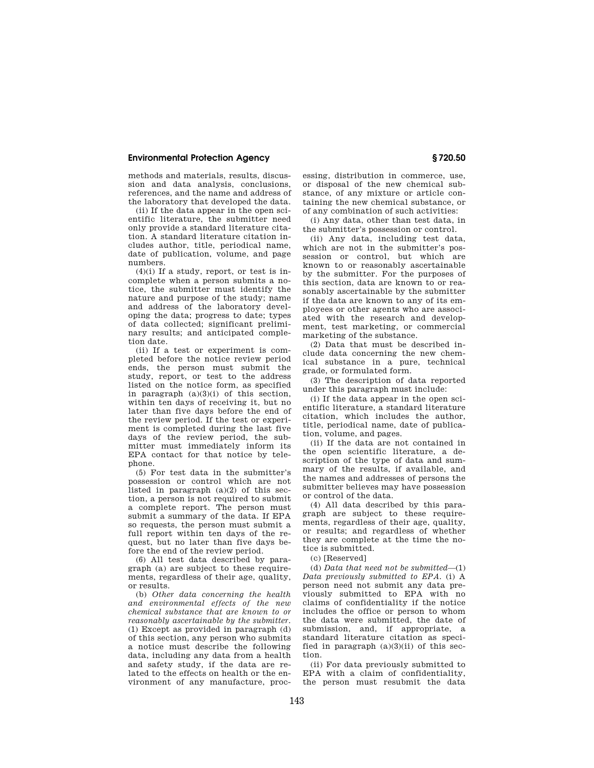## **Environmental Protection Agency § 720.50**

methods and materials, results, discussion and data analysis, conclusions, references, and the name and address of the laboratory that developed the data.

(ii) If the data appear in the open scientific literature, the submitter need only provide a standard literature citation. A standard literature citation includes author, title, periodical name, date of publication, volume, and page numbers.

 $(4)(i)$  If a study, report, or test is incomplete when a person submits a notice, the submitter must identify the nature and purpose of the study; name and address of the laboratory developing the data; progress to date; types of data collected; significant preliminary results; and anticipated completion date.

(ii) If a test or experiment is completed before the notice review period ends, the person must submit the study, report, or test to the address listed on the notice form, as specified in paragraph  $(a)(3)(i)$  of this section, within ten days of receiving it, but no later than five days before the end of the review period. If the test or experiment is completed during the last five days of the review period, the submitter must immediately inform its EPA contact for that notice by telephone.

(5) For test data in the submitter's possession or control which are not listed in paragraph  $(a)(2)$  of this section, a person is not required to submit a complete report. The person must submit a summary of the data. If EPA so requests, the person must submit a full report within ten days of the request, but no later than five days before the end of the review period.

(6) All test data described by paragraph (a) are subject to these requirements, regardless of their age, quality, or results.

(b) *Other data concerning the health and environmental effects of the new chemical substance that are known to or reasonably ascertainable by the submitter.*  (1) Except as provided in paragraph (d) of this section, any person who submits a notice must describe the following data, including any data from a health and safety study, if the data are related to the effects on health or the environment of any manufacture, proc-

essing, distribution in commerce, use, or disposal of the new chemical substance, of any mixture or article containing the new chemical substance, or of any combination of such activities:

(i) Any data, other than test data, in the submitter's possession or control.

(ii) Any data, including test data, which are not in the submitter's possession or control, but which are known to or reasonably ascertainable by the submitter. For the purposes of this section, data are known to or reasonably ascertainable by the submitter if the data are known to any of its employees or other agents who are associated with the research and development, test marketing, or commercial marketing of the substance.

(2) Data that must be described include data concerning the new chemical substance in a pure, technical grade, or formulated form.

(3) The description of data reported under this paragraph must include:

(i) If the data appear in the open scientific literature, a standard literature citation, which includes the author, title, periodical name, date of publication, volume, and pages.

(ii) If the data are not contained in the open scientific literature, a description of the type of data and summary of the results, if available, and the names and addresses of persons the submitter believes may have possession or control of the data.

(4) All data described by this paragraph are subject to these requirements, regardless of their age, quality, or results; and regardless of whether they are complete at the time the notice is submitted.

(c) [Reserved]

(d) *Data that need not be submitted*—(1) *Data previously submitted to EPA.* (i) A person need not submit any data previously submitted to EPA with no claims of confidentiality if the notice includes the office or person to whom the data were submitted, the date of submission, and, if appropriate, a standard literature citation as specified in paragraph  $(a)(3)(ii)$  of this section.

(ii) For data previously submitted to EPA with a claim of confidentiality, the person must resubmit the data